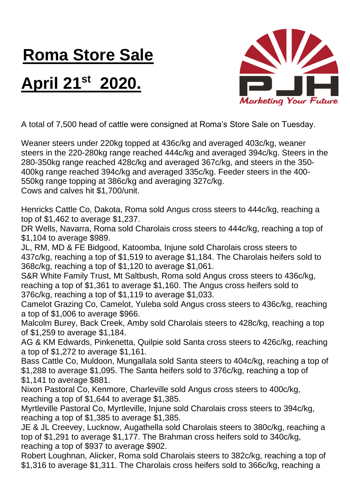## **Roma Store Sale**

## **April 21st 2020.**



A total of 7,500 head of cattle were consigned at Roma's Store Sale on Tuesday.

Weaner steers under 220kg topped at 436c/kg and averaged 403c/kg, weaner steers in the 220-280kg range reached 444c/kg and averaged 394c/kg. Steers in the 280-350kg range reached 428c/kg and averaged 367c/kg, and steers in the 350- 400kg range reached 394c/kg and averaged 335c/kg. Feeder steers in the 400- 550kg range topping at 386c/kg and averaging 327c/kg. Cows and calves hit \$1,700/unit.

Henricks Cattle Co, Dakota, Roma sold Angus cross steers to 444c/kg, reaching a top of \$1,462 to average \$1,237.

DR Wells, Navarra, Roma sold Charolais cross steers to 444c/kg, reaching a top of \$1,104 to average \$989.

JL, RM, MD & FE Bidgood, Katoomba, Injune sold Charolais cross steers to 437c/kg, reaching a top of \$1,519 to average \$1,184. The Charolais heifers sold to 368c/kg, reaching a top of \$1,120 to average \$1,061.

S&R White Family Trust, Mt Saltbush, Roma sold Angus cross steers to 436c/kg, reaching a top of \$1,361 to average \$1,160. The Angus cross heifers sold to 376c/kg, reaching a top of \$1,119 to average \$1,033.

Camelot Grazing Co, Camelot, Yuleba sold Angus cross steers to 436c/kg, reaching a top of \$1,006 to average \$966.

Malcolm Burey, Back Creek, Amby sold Charolais steers to 428c/kg, reaching a top of \$1,259 to average \$1,184.

AG & KM Edwards, Pinkenetta, Quilpie sold Santa cross steers to 426c/kg, reaching a top of \$1,272 to average \$1,161.

Bass Cattle Co, Muldoon, Mungallala sold Santa steers to 404c/kg, reaching a top of \$1,288 to average \$1,095. The Santa heifers sold to 376c/kg, reaching a top of \$1,141 to average \$881.

Nixon Pastoral Co, Kenmore, Charleville sold Angus cross steers to 400c/kg, reaching a top of \$1,644 to average \$1,385.

Myrtleville Pastoral Co, Myrtleville, Injune sold Charolais cross steers to 394c/kg, reaching a top of \$1,385 to average \$1,385.

JE & JL Creevey, Lucknow, Augathella sold Charolais steers to 380c/kg, reaching a top of \$1,291 to average \$1,177. The Brahman cross heifers sold to 340c/kg, reaching a top of \$937 to average \$902.

Robert Loughnan, Alicker, Roma sold Charolais steers to 382c/kg, reaching a top of \$1,316 to average \$1,311. The Charolais cross heifers sold to 366c/kg, reaching a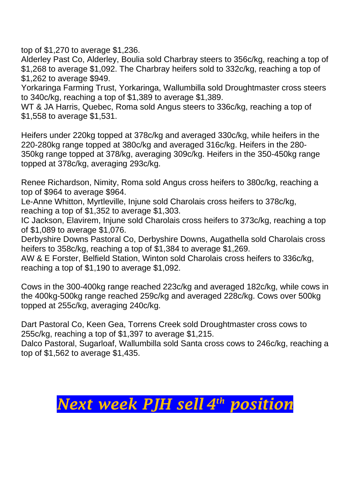top of \$1,270 to average \$1,236.

Alderley Past Co, Alderley, Boulia sold Charbray steers to 356c/kg, reaching a top of \$1,268 to average \$1,092. The Charbray heifers sold to 332c/kg, reaching a top of \$1,262 to average \$949.

Yorkaringa Farming Trust, Yorkaringa, Wallumbilla sold Droughtmaster cross steers to 340c/kg, reaching a top of \$1,389 to average \$1,389.

WT & JA Harris, Quebec, Roma sold Angus steers to 336c/kg, reaching a top of \$1,558 to average \$1,531.

Heifers under 220kg topped at 378c/kg and averaged 330c/kg, while heifers in the 220-280kg range topped at 380c/kg and averaged 316c/kg. Heifers in the 280- 350kg range topped at 378/kg, averaging 309c/kg. Heifers in the 350-450kg range topped at 378c/kg, averaging 293c/kg.

Renee Richardson, Nimity, Roma sold Angus cross heifers to 380c/kg, reaching a top of \$964 to average \$964.

Le-Anne Whitton, Myrtleville, Injune sold Charolais cross heifers to 378c/kg, reaching a top of \$1,352 to average \$1,303.

IC Jackson, Elavirem, Injune sold Charolais cross heifers to 373c/kg, reaching a top of \$1,089 to average \$1,076.

Derbyshire Downs Pastoral Co, Derbyshire Downs, Augathella sold Charolais cross heifers to 358c/kg, reaching a top of \$1,384 to average \$1,269.

AW & E Forster, Belfield Station, Winton sold Charolais cross heifers to 336c/kg, reaching a top of \$1,190 to average \$1,092.

Cows in the 300-400kg range reached 223c/kg and averaged 182c/kg, while cows in the 400kg-500kg range reached 259c/kg and averaged 228c/kg. Cows over 500kg topped at 255c/kg, averaging 240c/kg.

Dart Pastoral Co, Keen Gea, Torrens Creek sold Droughtmaster cross cows to 255c/kg, reaching a top of \$1,397 to average \$1,215.

Dalco Pastoral, Sugarloaf, Wallumbilla sold Santa cross cows to 246c/kg, reaching a top of \$1,562 to average \$1,435.

## *Next week PJH sell 4 th position*